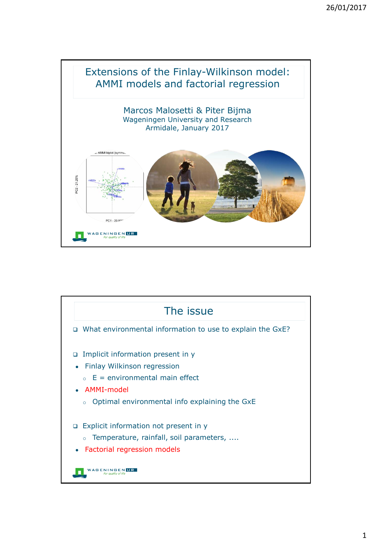

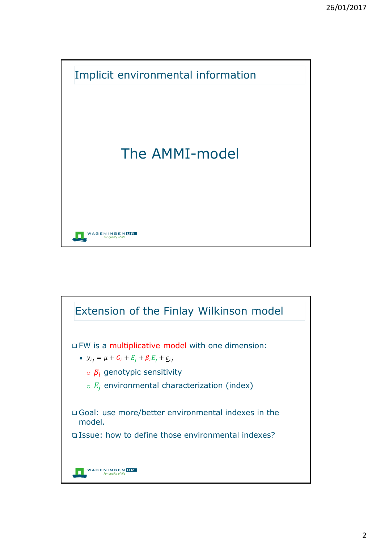

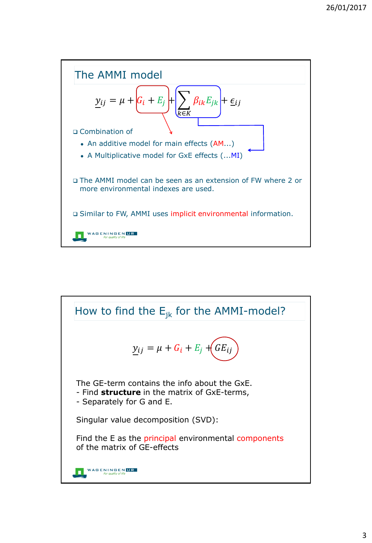

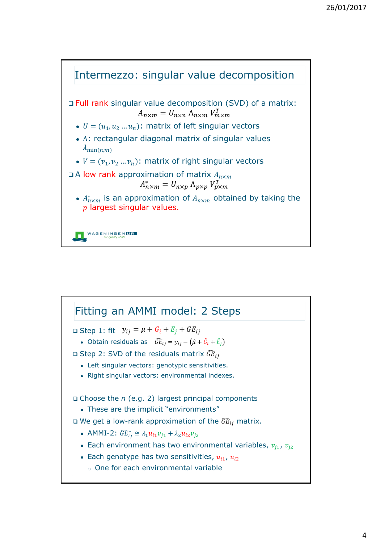

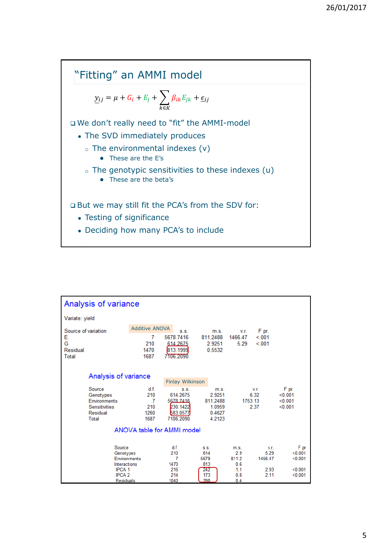

| Analysis of variance                                                                                   |                                                   |                                                                    |                                                          |                                                        |                                         |                                                  |
|--------------------------------------------------------------------------------------------------------|---------------------------------------------------|--------------------------------------------------------------------|----------------------------------------------------------|--------------------------------------------------------|-----------------------------------------|--------------------------------------------------|
| Variate: yield                                                                                         |                                                   |                                                                    |                                                          |                                                        |                                         |                                                  |
| Source of variation<br>Е<br>Ġ<br>Residual<br>Total                                                     | <b>Additive ANOVA</b><br>7<br>210<br>1470<br>1687 | S.S.<br>5678.7416<br>614.2675<br>813.1999<br>7106.2090             | m.s.<br>811 2488<br>2.9251<br>0.5532                     | V.r.<br>1466 47<br>5.29                                | F pr.<br>< 001<br>< 001                 |                                                  |
| Analysis of variance<br><b>Finlay Wilkinson</b>                                                        |                                                   |                                                                    |                                                          |                                                        |                                         |                                                  |
| Source<br>Genotypes<br>Environments<br><b>Sensitivities</b><br>Residual<br>Total                       | df.<br>210<br>7<br>210<br>1260<br>1687            | S.S.<br>614.2675<br>5678 7416<br>230.1422<br>583.0577<br>7106.2090 | m.s.<br>2.9251<br>811.2488<br>1.0959<br>0.4627<br>4.2123 | 1753.13                                                | V.F.<br>6.32<br>2.37                    | F pr.<br>< 0.001<br>< 0.001<br>< 0.001           |
| ANOVA table for AMMI model                                                                             |                                                   |                                                                    |                                                          |                                                        |                                         |                                                  |
| Source<br>Genotypes<br>Environments<br>Interactions<br>IPCA <sub>1</sub><br><b>IPCA 2</b><br>Residuals |                                                   | df.<br>210<br>7<br>1470<br>216<br>214<br>1040                      | S.S.<br>614<br>5679<br>813<br>242<br>173<br>398          | m.s.<br>2.9<br>811.2<br>0.6<br>1.1<br>0.8<br>$0\Delta$ | V.r.<br>5.29<br>1466.47<br>2.93<br>2.11 | F pr<br>< 0.001<br>< 0.001<br>< 0.001<br>< 0.001 |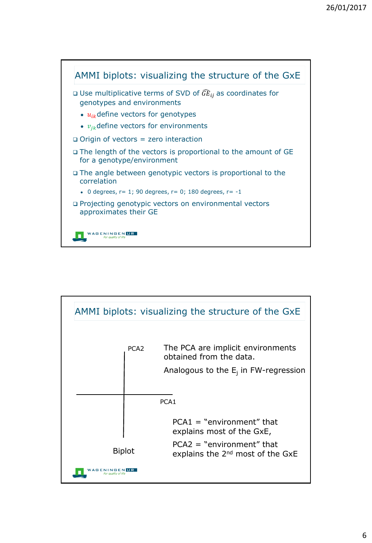

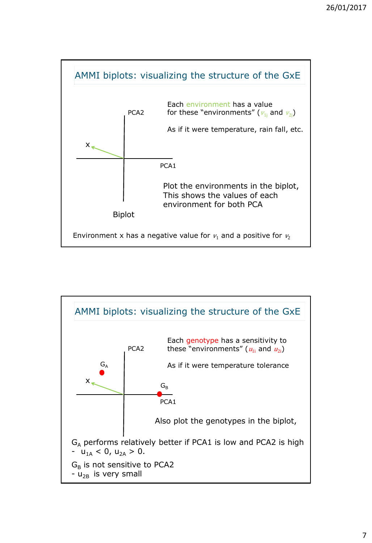

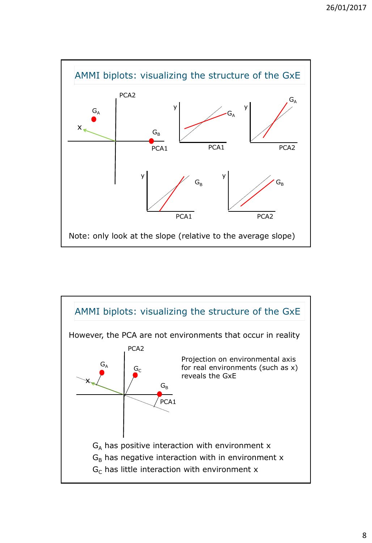

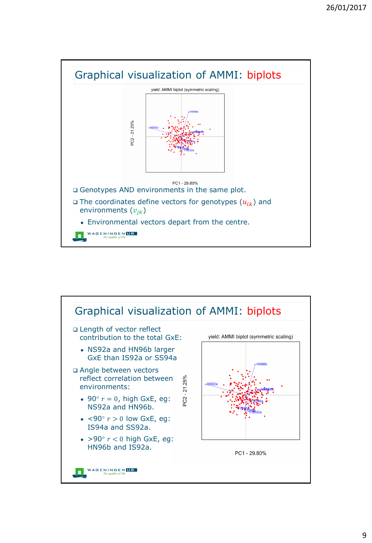

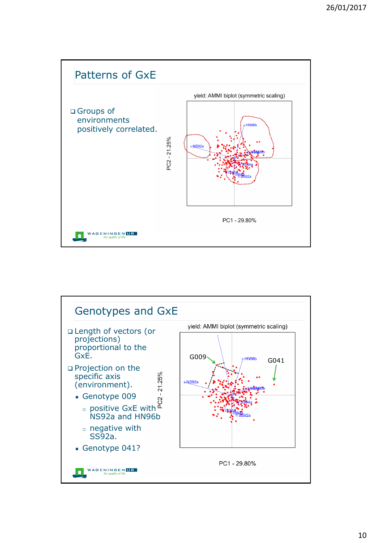

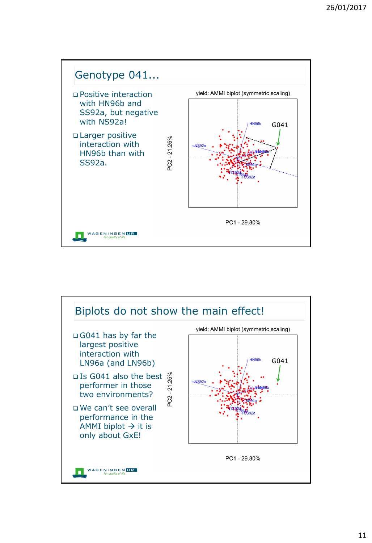

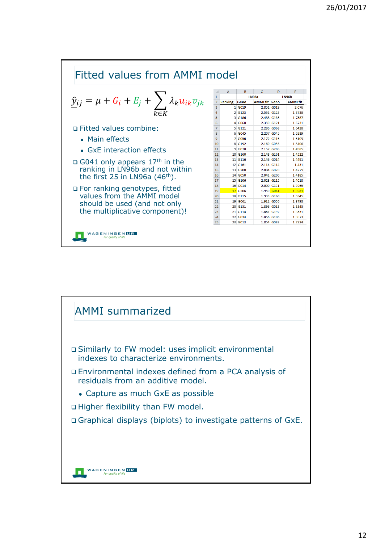

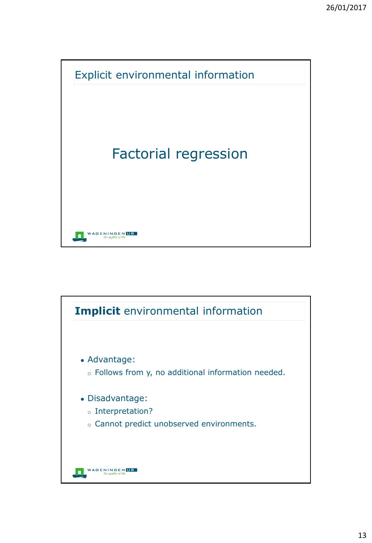

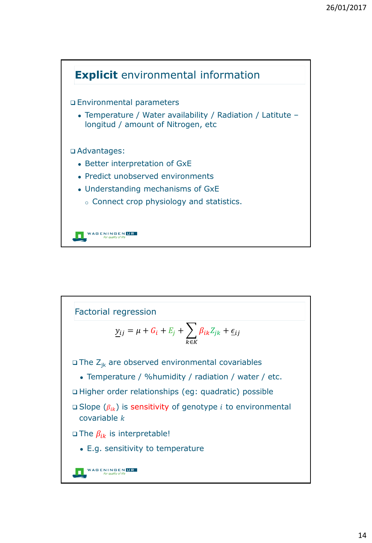

Factorial regression $y_{ij} = \mu + G_i + E_j + \sum \beta_{ik} Z_{jk}$  $+$   $\varepsilon_{ij}$ ∈  $\Box$  The  $Z_{ik}$  are observed environmental covariables • Temperature / %humidity / radiation / water / etc. Higher order relationships (eg: quadratic) possible  $\square$  Slope  $(\beta_{ik})$  is sensitivity of genotype *i* to environmental covariable  $k$  $\square$  The  $\beta_{ik}$  is interpretable! • E.g. sensitivity to temperature **NAGENINGENUR**